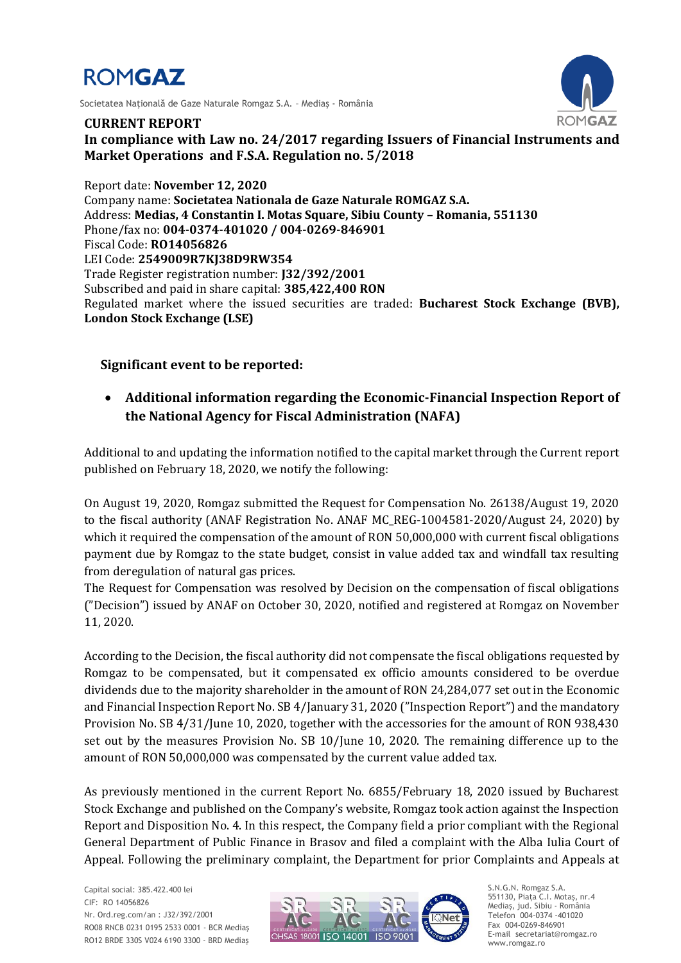

Societatea Naţională de Gaze Naturale Romgaz S.A. – Mediaş - România



**CURRENT REPORT In compliance with Law no. 24/2017 regarding Issuers of Financial Instruments and Market Operations and F.S.A. Regulation no. 5/2018**

Report date: **November 12, 2020** Company name: **Societatea Nationala de Gaze Naturale ROMGAZ S.A.** Address: **Medias, 4 Constantin I. Motas Square, Sibiu County – Romania, 551130** Phone/fax no: **004-0374-401020 / 004-0269-846901** Fiscal Code: **RO14056826** LEI Code: **2549009R7KJ38D9RW354** Trade Register registration number: **J32/392/2001** Subscribed and paid in share capital: **385,422,400 RON** Regulated market where the issued securities are traded: **Bucharest Stock Exchange (BVB), London Stock Exchange (LSE)**

## **Significant event to be reported:**

 **Additional information regarding the Economic-Financial Inspection Report of the National Agency for Fiscal Administration (NAFA)**

Additional to and updating the information notified to the capital market through the Current report published on February 18, 2020, we notify the following:

On August 19, 2020, Romgaz submitted the Request for Compensation No. 26138/August 19, 2020 to the fiscal authority (ANAF Registration No. ANAF MC\_REG-1004581-2020/August 24, 2020) by which it required the compensation of the amount of RON 50,000,000 with current fiscal obligations payment due by Romgaz to the state budget, consist in value added tax and windfall tax resulting from deregulation of natural gas prices.

The Request for Compensation was resolved by Decision on the compensation of fiscal obligations ("Decision") issued by ANAF on October 30, 2020, notified and registered at Romgaz on November 11, 2020.

According to the Decision, the fiscal authority did not compensate the fiscal obligations requested by Romgaz to be compensated, but it compensated ex officio amounts considered to be overdue dividends due to the majority shareholder in the amount of RON 24,284,077 set out in the Economic and Financial Inspection Report No. SB 4/January 31, 2020 ("Inspection Report") and the mandatory Provision No. SB 4/31/June 10, 2020, together with the accessories for the amount of RON 938,430 set out by the measures Provision No. SB 10/June 10, 2020. The remaining difference up to the amount of RON 50,000,000 was compensated by the current value added tax.

As previously mentioned in the current Report No. 6855/February 18, 2020 issued by Bucharest Stock Exchange and published on the Company's website, Romgaz took action against the Inspection Report and Disposition No. 4. In this respect, the Company field a prior compliant with the Regional General Department of Public Finance in Brasov and filed a complaint with the Alba Iulia Court of Appeal. Following the preliminary complaint, the Department for prior Complaints and Appeals at



S.N.G.N. Romgaz S.A. 551130, Piața C.I. Motaş, nr.4 Mediaş, jud. Sibiu - România Telefon 004-0374 -401020 Fax 004-0269-846901 E-mail secretariat@romgaz.ro www.romgaz.ro